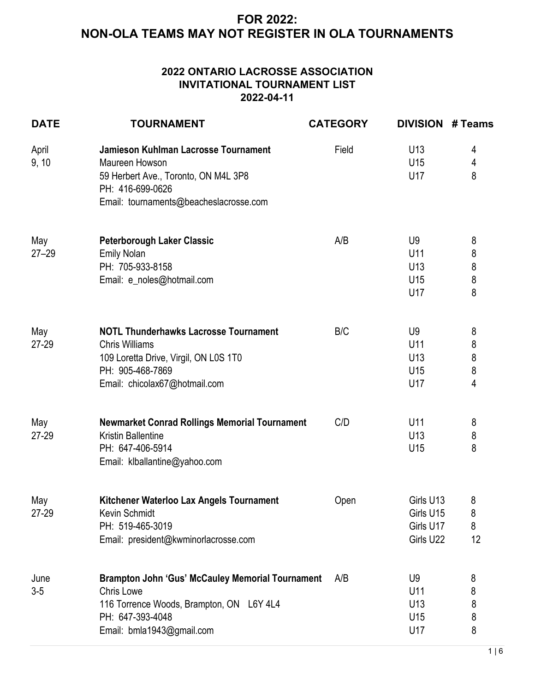#### **2022 ONTARIO LACROSSE ASSOCIATION INVITATIONAL TOURNAMENT LIST 2022-04-11**

| <b>DATE</b>      | <b>TOURNAMENT</b>                                                                                                                                                         | <b>CATEGORY</b> | <b>DIVISION</b>                                        | # Teams                                  |
|------------------|---------------------------------------------------------------------------------------------------------------------------------------------------------------------------|-----------------|--------------------------------------------------------|------------------------------------------|
| April<br>9, 10   | Jamieson Kuhlman Lacrosse Tournament<br>Maureen Howson<br>59 Herbert Ave., Toronto, ON M4L 3P8<br>PH: 416-699-0626<br>Email: tournaments@beacheslacrosse.com              | Field           | U <sub>13</sub><br>U15<br>U17                          | 4<br>4<br>8                              |
| May<br>$27 - 29$ | <b>Peterborough Laker Classic</b><br><b>Emily Nolan</b><br>PH: 705-933-8158<br>Email: e_noles@hotmail.com                                                                 | A/B             | U <sub>9</sub><br>U11<br>U <sub>13</sub><br>U15<br>U17 | 8<br>8<br>$\bf 8$<br>8<br>8              |
| May<br>27-29     | <b>NOTL Thunderhawks Lacrosse Tournament</b><br><b>Chris Williams</b><br>109 Loretta Drive, Virgil, ON L0S 1T0<br>PH: 905-468-7869<br>Email: chicolax67@hotmail.com       | B/C             | U <sub>9</sub><br>U11<br>U <sub>13</sub><br>U15<br>U17 | 8<br>8<br>$\bf 8$<br>8<br>$\overline{4}$ |
| May<br>$27 - 29$ | <b>Newmarket Conrad Rollings Memorial Tournament</b><br><b>Kristin Ballentine</b><br>PH: 647-406-5914<br>Email: klballantine@yahoo.com                                    | C/D             | U11<br>U <sub>13</sub><br>U <sub>15</sub>              | 8<br>$\bf 8$<br>8                        |
| May<br>27-29     | Kitchener Waterloo Lax Angels Tournament<br><b>Kevin Schmidt</b><br>PH: 519-465-3019<br>Email: president@kwminorlacrosse.com                                              | Open            | Girls U13<br>Girls U15<br>Girls U17<br>Girls U22       | 8<br>8<br>8<br>12                        |
| June<br>$3 - 5$  | <b>Brampton John 'Gus' McCauley Memorial Tournament</b><br><b>Chris Lowe</b><br>116 Torrence Woods, Brampton, ON L6Y 4L4<br>PH: 647-393-4048<br>Email: bmla1943@gmail.com | A/B             | U9<br>U11<br>U <sub>13</sub><br>U <sub>15</sub><br>U17 | 8<br>8<br>8<br>8<br>8                    |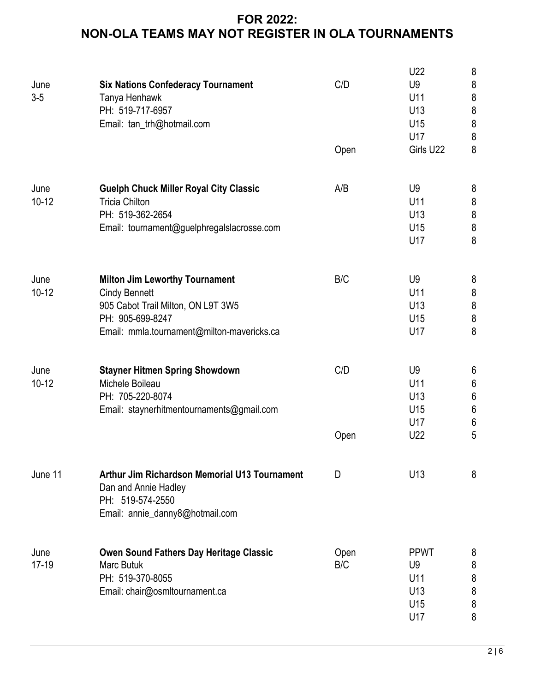|               |                                                                                                                                     |      | U22                   | $\bf 8$                     |
|---------------|-------------------------------------------------------------------------------------------------------------------------------------|------|-----------------------|-----------------------------|
| June<br>$3-5$ | <b>Six Nations Confederacy Tournament</b>                                                                                           | C/D  | U <sub>9</sub><br>U11 | $\boldsymbol{8}$<br>$\bf 8$ |
|               | Tanya Henhawk<br>PH: 519-717-6957                                                                                                   |      | U13                   | $\delta$                    |
|               | Email: tan_trh@hotmail.com                                                                                                          |      | U15                   | $\bf 8$                     |
|               |                                                                                                                                     |      | U17                   | $\,8\,$                     |
|               |                                                                                                                                     | Open | Girls U22             | 8                           |
|               |                                                                                                                                     |      |                       |                             |
| June          | <b>Guelph Chuck Miller Royal City Classic</b>                                                                                       | A/B  | U <sub>9</sub>        | 8                           |
| $10-12$       | <b>Tricia Chilton</b>                                                                                                               |      | U11                   | $\, 8$                      |
|               | PH: 519-362-2654                                                                                                                    |      | U <sub>13</sub>       | $\bf 8$                     |
|               | Email: tournament@guelphregalslacrosse.com                                                                                          |      | U15                   | $\bf 8$                     |
|               |                                                                                                                                     |      | U17                   | $\bf 8$                     |
| June          | <b>Milton Jim Leworthy Tournament</b>                                                                                               | B/C  | U <sub>9</sub>        | 8                           |
| $10 - 12$     | <b>Cindy Bennett</b>                                                                                                                |      | U11                   | $\bf 8$                     |
|               | 905 Cabot Trail Milton, ON L9T 3W5                                                                                                  |      | U <sub>13</sub>       | $\boldsymbol{8}$            |
|               | PH: 905-699-8247                                                                                                                    |      | U15                   | $\delta$                    |
|               | Email: mmla.tournament@milton-mavericks.ca                                                                                          |      | U17                   | 8                           |
|               |                                                                                                                                     |      |                       |                             |
| June          | <b>Stayner Hitmen Spring Showdown</b>                                                                                               | C/D  | U <sub>9</sub>        | $6\phantom{.}6$             |
| $10 - 12$     | Michele Boileau                                                                                                                     |      | U11                   | $\boldsymbol{6}$            |
|               | PH: 705-220-8074                                                                                                                    |      | U <sub>13</sub>       | $\,6\,$                     |
|               | Email: staynerhitmentournaments@gmail.com                                                                                           |      | U <sub>15</sub>       | $\boldsymbol{6}$            |
|               |                                                                                                                                     |      | U17                   | $\boldsymbol{6}$            |
|               |                                                                                                                                     | Open | U22                   | 5                           |
| June 11       | <b>Arthur Jim Richardson Memorial U13 Tournament</b><br>Dan and Annie Hadley<br>PH: 519-574-2550<br>Email: annie_danny8@hotmail.com | D    | U <sub>13</sub>       | 8                           |
| June          | Owen Sound Fathers Day Heritage Classic                                                                                             | Open | <b>PPWT</b>           | 8                           |
| $17-19$       | <b>Marc Butuk</b>                                                                                                                   | B/C  | U9                    | 8                           |
|               | PH: 519-370-8055                                                                                                                    |      | U11                   | 8                           |
|               | Email: chair@osmltournament.ca                                                                                                      |      | U <sub>13</sub>       | 8                           |
|               |                                                                                                                                     |      | U15                   | 8                           |
|               |                                                                                                                                     |      | U17                   | 8                           |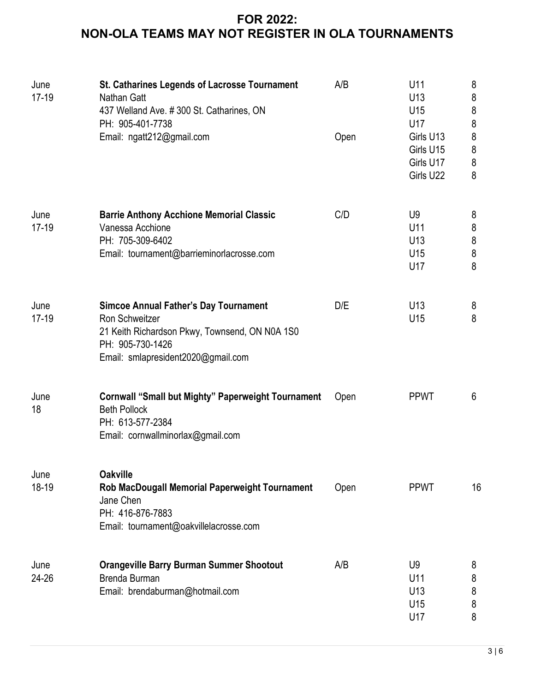| June<br>$17-19$ | St. Catharines Legends of Lacrosse Tournament<br>Nathan Gatt<br>437 Welland Ave. #300 St. Catharines, ON<br>PH: 905-401-7738                                               | A/B  | U11<br>U <sub>13</sub><br>U15<br>U17                   | 8<br>$\bf 8$<br>$\bf 8$<br>$\boldsymbol{8}$           |
|-----------------|----------------------------------------------------------------------------------------------------------------------------------------------------------------------------|------|--------------------------------------------------------|-------------------------------------------------------|
|                 | Email: ngatt212@gmail.com                                                                                                                                                  | Open | Girls U13<br>Girls U15<br>Girls U17<br>Girls U22       | $\bf 8$<br>$\bf 8$<br>$\bf 8$<br>8                    |
| June<br>$17-19$ | <b>Barrie Anthony Acchione Memorial Classic</b><br>Vanessa Acchione<br>PH: 705-309-6402<br>Email: tournament@barrieminorlacrosse.com                                       | C/D  | U <sub>9</sub><br>U11<br>U <sub>13</sub><br>U15<br>U17 | 8<br>$\bf 8$<br>$\bf 8$<br>$\boldsymbol{\delta}$<br>8 |
| June<br>$17-19$ | <b>Simcoe Annual Father's Day Tournament</b><br>Ron Schweitzer<br>21 Keith Richardson Pkwy, Townsend, ON N0A 1S0<br>PH: 905-730-1426<br>Email: smlapresident2020@gmail.com | D/E  | U <sub>13</sub><br>U <sub>15</sub>                     | 8<br>8                                                |
| June<br>18      | <b>Cornwall "Small but Mighty" Paperweight Tournament</b><br><b>Beth Pollock</b><br>PH: 613-577-2384<br>Email: cornwallminorlax@gmail.com                                  | Open | <b>PPWT</b>                                            | 6                                                     |
| June<br>18-19   | <b>Oakville</b><br>Rob MacDougall Memorial Paperweight Tournament<br>Jane Chen<br>PH: 416-876-7883<br>Email: tournament@oakvillelacrosse.com                               | Open | <b>PPWT</b>                                            | 16                                                    |
| June<br>24-26   | <b>Orangeville Barry Burman Summer Shootout</b><br>Brenda Burman<br>Email: brendaburman@hotmail.com                                                                        | A/B  | U <sub>9</sub><br>U11<br>U <sub>13</sub><br>U15<br>U17 | 8<br>8<br>$\bf 8$<br>8<br>8                           |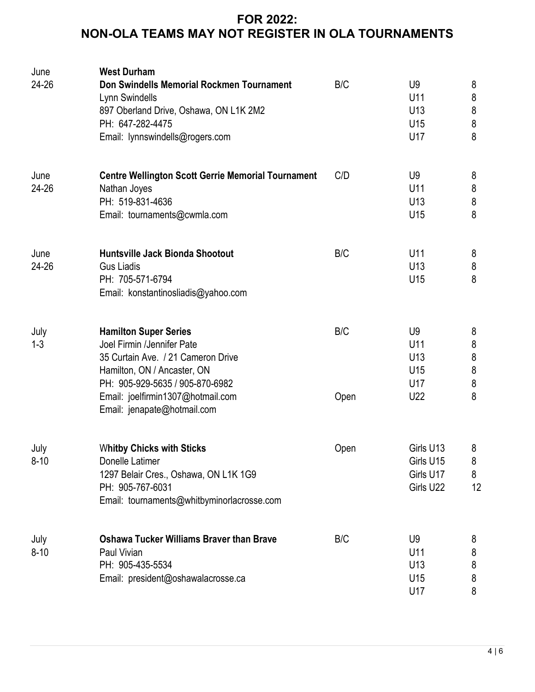| June<br>24-26    | <b>West Durham</b><br>Don Swindells Memorial Rockmen Tournament<br>Lynn Swindells<br>897 Oberland Drive, Oshawa, ON L1K 2M2<br>PH: 647-282-4475<br>Email: lynnswindells@rogers.com                                                     | B/C         | U <sub>9</sub><br>U11<br>U <sub>13</sub><br>U15<br>U17             | 8<br>$\, 8$<br>$\bf 8$<br>$\,8\,$<br>8             |
|------------------|----------------------------------------------------------------------------------------------------------------------------------------------------------------------------------------------------------------------------------------|-------------|--------------------------------------------------------------------|----------------------------------------------------|
| June<br>24-26    | <b>Centre Wellington Scott Gerrie Memorial Tournament</b><br>Nathan Joyes<br>PH: 519-831-4636<br>Email: tournaments@cwmla.com                                                                                                          | C/D         | U <sub>9</sub><br>U11<br>U <sub>13</sub><br>U15                    | 8<br>$\bf 8$<br>$\,8\,$<br>8                       |
| June<br>24-26    | Huntsville Jack Bionda Shootout<br><b>Gus Liadis</b><br>PH: 705-571-6794<br>Email: konstantinosliadis@yahoo.com                                                                                                                        | B/C         | U11<br>U <sub>13</sub><br>U <sub>15</sub>                          | 8<br>$\bf 8$<br>8                                  |
| July<br>$1 - 3$  | <b>Hamilton Super Series</b><br>Joel Firmin /Jennifer Pate<br>35 Curtain Ave. / 21 Cameron Drive<br>Hamilton, ON / Ancaster, ON<br>PH: 905-929-5635 / 905-870-6982<br>Email: joelfirmin1307@hotmail.com<br>Email: jenapate@hotmail.com | B/C<br>Open | U <sub>9</sub><br>U11<br>U <sub>13</sub><br>U15<br>U17<br>U22      | 8<br>$\bf 8$<br>$\bf 8$<br>$\bf 8$<br>$\bf 8$<br>8 |
| July<br>$8 - 10$ | <b>Whitby Chicks with Sticks</b><br>Donelle Latimer<br>1297 Belair Cres., Oshawa, ON L1K 1G9<br>PH: 905-767-6031<br>Email: tournaments@whitbyminorlacrosse.com                                                                         | Open        | Girls U13<br>Girls U15<br>Girls U17<br>Girls U22                   | 8<br>8<br>8<br>12                                  |
| July<br>$8 - 10$ | <b>Oshawa Tucker Williams Braver than Brave</b><br>Paul Vivian<br>PH: 905-435-5534<br>Email: president@oshawalacrosse.ca                                                                                                               | B/C         | U <sub>9</sub><br>U11<br>U <sub>13</sub><br>U <sub>15</sub><br>U17 | 8<br>8<br>8<br>8<br>8                              |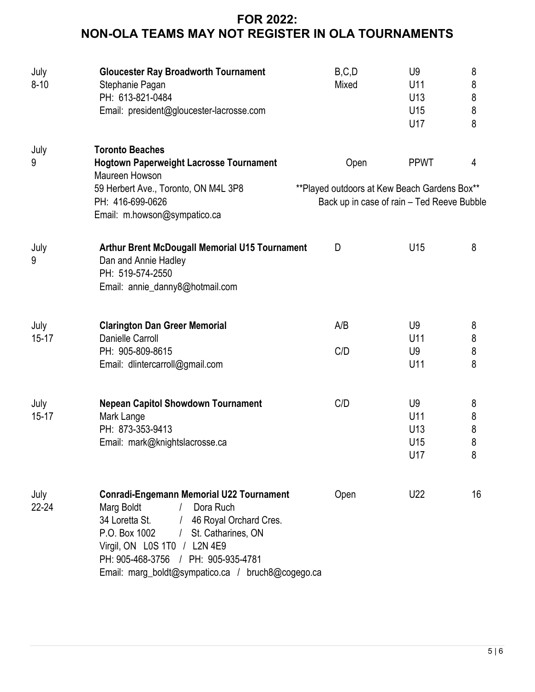| July<br>$8 - 10$  | <b>Gloucester Ray Broadworth Tournament</b><br>Stephanie Pagan<br>PH: 613-821-0484<br>Email: president@gloucester-lacrosse.com                                                                                                                                                              | B, C, D<br>Mixed                                     | U <sub>9</sub><br>U11<br>U <sub>13</sub><br>U <sub>15</sub><br>U17 | 8<br>8<br>8<br>8<br>8 |
|-------------------|---------------------------------------------------------------------------------------------------------------------------------------------------------------------------------------------------------------------------------------------------------------------------------------------|------------------------------------------------------|--------------------------------------------------------------------|-----------------------|
| July<br>9         | <b>Toronto Beaches</b><br><b>Hogtown Paperweight Lacrosse Tournament</b><br>Maureen Howson<br>59 Herbert Ave., Toronto, ON M4L 3P8<br>PH: 416-699-0626<br>Email: m.howson@sympatico.ca                                                                                                      | Open<br>**Played outdoors at Kew Beach Gardens Box** | <b>PPWT</b><br>Back up in case of rain - Ted Reeve Bubble          | 4                     |
| July<br>9         | Arthur Brent McDougall Memorial U15 Tournament<br>Dan and Annie Hadley<br>PH: 519-574-2550<br>Email: annie_danny8@hotmail.com                                                                                                                                                               | D                                                    | U <sub>15</sub>                                                    | 8                     |
| July<br>$15 - 17$ | <b>Clarington Dan Greer Memorial</b><br><b>Danielle Carroll</b><br>PH: 905-809-8615<br>Email: dlintercarroll@gmail.com                                                                                                                                                                      | A/B<br>C/D                                           | U9<br>U11<br>U <sub>9</sub><br>U11                                 | 8<br>8<br>8<br>8      |
| July<br>$15 - 17$ | <b>Nepean Capitol Showdown Tournament</b><br>Mark Lange<br>PH: 873-353-9413<br>Email: mark@knightslacrosse.ca                                                                                                                                                                               | C/D                                                  | U9<br>U11<br>U <sub>13</sub><br>U <sub>15</sub><br>U17             | 8<br>8<br>8<br>8<br>8 |
| July<br>$22 - 24$ | <b>Conradi-Engemann Memorial U22 Tournament</b><br>Marg Boldt<br>Dora Ruch<br>34 Loretta St.<br>/ 46 Royal Orchard Cres.<br>P.O. Box 1002<br>St. Catharines, ON<br>Virgil, ON LOS 1TO / L2N 4E9<br>PH: 905-468-3756 / PH: 905-935-4781<br>Email: marg_boldt@sympatico.ca / bruch8@cogego.ca | Open                                                 | U22                                                                | 16                    |